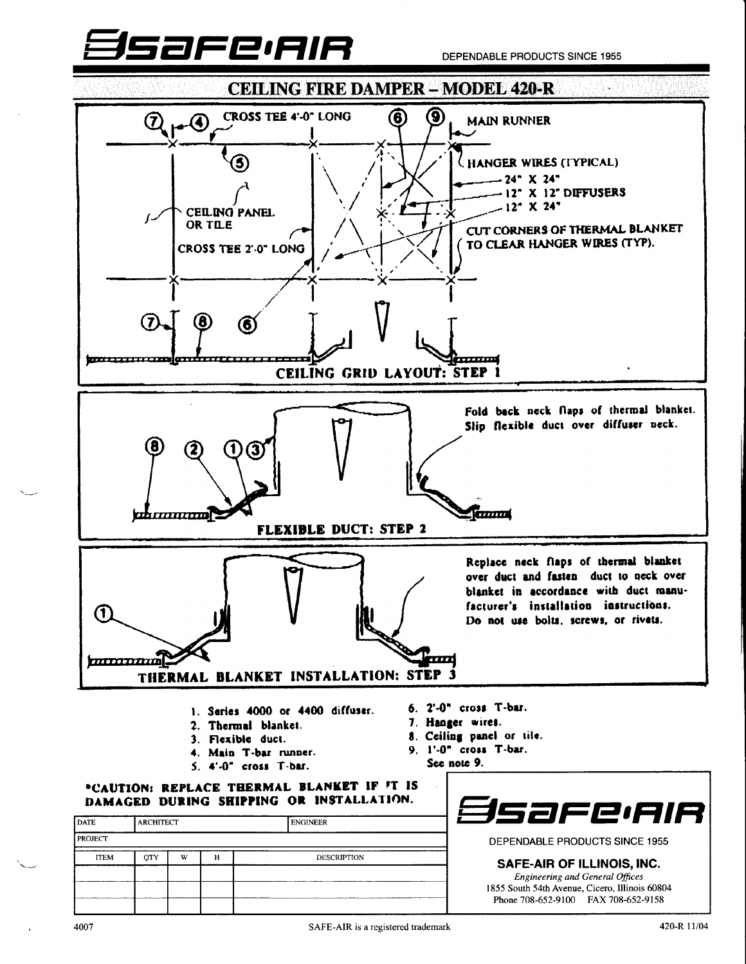

DEPENDABLE PRODUCTS SINCE 1955